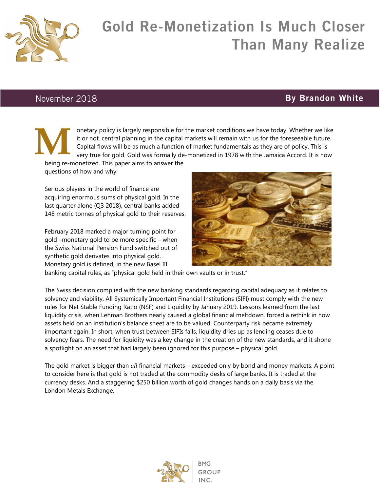

## Gold Re-Monetization Is Much Closer Than Many Realize

## November 2018

## By Brandon White

onetary policy is largely responsible for the market conditions we have today. Whether we like it or not, central planning in the capital markets will remain with us for the foreseeable future. Capital flows will be as much a function of market fundamentals as they are of policy. This is very true for gold. Gold was formally de-monetized in 1978 with the Jamaica Accord. It is now **M**

being re-monetized. This paper aims to answer the questions of how and why.

Serious players in the world of finance are acquiring enormous sums of physical gold. In the last quarter alone (Q3 2018), central banks added 148 metric tonnes of physical gold to their reserves.

February 2018 marked a major turning point for gold –monetary gold to be more specific – when the Swiss National Pension Fund switched out of synthetic gold derivates into physical gold. Monetary gold is defined, in the new Basel III



banking capital rules, as "physical gold held in their own vaults or in trust."

The Swiss decision complied with the new banking standards regarding capital adequacy as it relates to solvency and viability. All Systemically Important Financial Institutions (SIFI) must comply with the new rules for Net Stable Funding Ratio (NSF) and Liquidity by January 2019. Lessons learned from the last liquidity crisis, when Lehman Brothers nearly caused a global financial meltdown, forced a rethink in how assets held on an institution's balance sheet are to be valued. Counterparty risk became extremely important again. In short, when trust between SIFIs fails, liquidity dries up as lending ceases due to solvency fears. The need for liquidity was a key change in the creation of the new standards, and it shone a spotlight on an asset that had largely been ignored for this purpose – physical gold.

The gold market is bigger than *all* financial markets – exceeded only by bond and money markets. A point to consider here is that gold is not traded at the commodity desks of large banks. It is traded at the currency desks. And a staggering \$250 billion worth of gold changes hands on a daily basis via the London Metals Exchange.

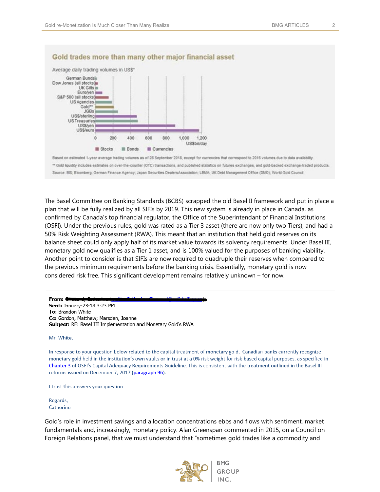

## Gold trades more than many other major financial asset

Based on estimated 1-year average trading volumes as of 28 September 2018, except for currencies that correspond to 2016 volumes due to data availability. \*\* Gold liquidity includes estimates on over-the-counter (OTC) transactions, and published statistics on futures exchanges, and gold-backed exchange-traded products. Source: BIS; Bloomberg; German Finance Agency; Japan Securities DealersAssociation; LBMA; UK Debt Management Office (DMO); World Gold Council

The Basel Committee on Banking Standards (BCBS) scrapped the old Basel II framework and put in place a plan that will be fully realized by all SIFIs by 2019. This new system is already in place in Canada, as confirmed by Canada's top financial regulator, the Office of the Superintendant of Financial Institutions (OSFI). Under the previous rules, gold was rated as a Tier 3 asset (there are now only two Tiers), and had a 50% Risk Weighting Assessment (RWA). This meant that an institution that held gold reserves on its balance sheet could only apply half of its market value towards its solvency requirements. Under Basel III, monetary gold now qualifies as a Tier 1 asset, and is 100% valued for the purposes of banking viability. Another point to consider is that SIFIs are now required to quadruple their reserves when compared to the previous minimum requirements before the banking crisis. Essentially, monetary gold is now considered risk free. This significant development remains relatively unknown – for now.

From: **COM** Sent: January-23-18 3:23 PM To: Brandon White Cc: Gordon, Matthew; Marsden, Joanne Subject: RE: Basel III Implementation and Monetary Gold's RWA

Mr. White,

In response to your question below related to the capital treatment of monetary gold, Canadian banks currently recognize monetary gold held in the institution's own vaults or in trust at a 0% risk weight for risk-based capital purposes, as specified in Chapter 3 of OSFI's Capital Adequacy Requirements Guideline. This is consistent with the treatment outlined in the Basel III reforms issued on December 7, 2017 (paragraph 96).

I trust this answers your question.

Regards, Catherine

Gold's role in investment savings and allocation concentrations ebbs and flows with sentiment, market fundamentals and, increasingly, monetary policy. Alan Greenspan commented in 2015, on a Council on Foreign Relations panel, that we must understand that "sometimes gold trades like a commodity and